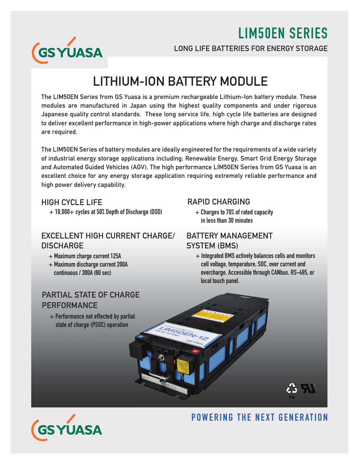LIM50EN SERIES



LONG LIFE BATTERIES FOR ENERGY STORAGE

## LITHIUM-ION BATTERY MODULE

The LIM50EN Series from GS Yuasa is a premium rechargeable Lithium-Ion battery module. These modules are manufactured in Japan using the highest quality components and under rigorous Japanese quality control standards. These long service life, high cycle life batteries are designed to deliver excellent performance in high-power applications where high charge and discharge rates are required.

The LIM50EN Series of battery modules are ideally engineered for the requirements of a wide variety of industrial energy storage applications including; Renewable Energy, Smart Grid Energy Storage and Automated Guided Vehicles (AGV). The high performance LIM50EN Series from GS Yuasa is an excellent choice for any energy storage application requiring extremely reliable performance and high power delivery capability.

#### HIGH CYCLE LIFE

+ 10,000+ cycles at 50% Depth of Discharge (DOD)

#### EXCELLENT HIGH CURRENT CHARGE/ **DISCHARGE**

- + Maximum charge current 125A
- + Maximum discharge current 200A continuous / 300A (60 sec)

#### PARTIAL STATE OF CHARGE **PERFORMANCE**

 + Performance not effected by partial state of charge (PSOC) operation

#### RAPID CHARGING

 + Charges to 70% of rated capacity in less than 30 minutes

#### BATTERY MANAGEMENT SYSTEM (BMS)

 $+$  Integrated BMS actively balances cells and monitors cell voltage, temperature, SOC, over current and overcharge. Accessible through CANbus, RS-495, or local touch panel.



### POWERING THE NEXT GENERATION

**Pb**